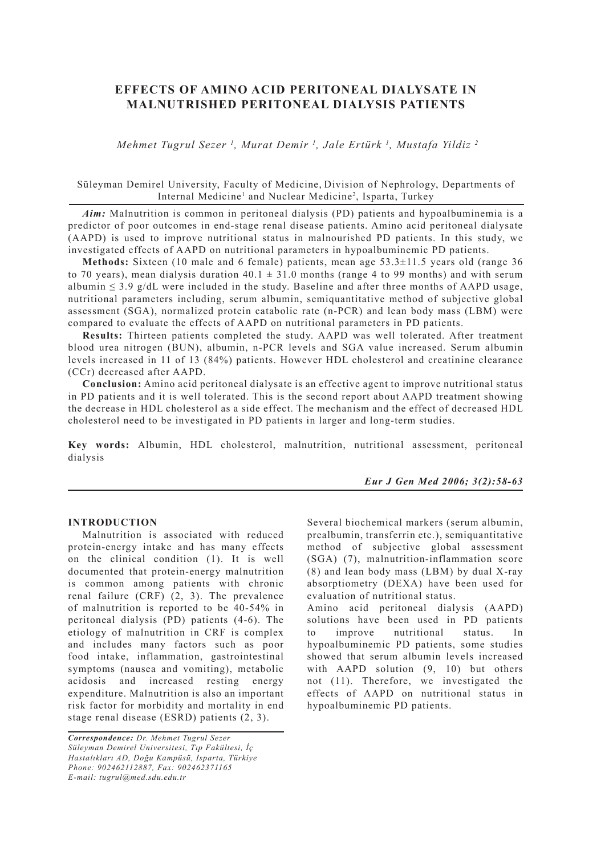# **EFFECTS OF AMINO ACID PERITONEAL DIALYSATE IN MALNUTRISHED PERITONEAL DIALYSIS PATIENTS**

 *Mehmet Tugrul Sezer 1 , Murat Demir 1 , Jale Ertürk 1 , Mustafa Yildiz 2*

## Süleyman Demirel University, Faculty of Medicine, Division of Nephrology, Departments of Internal Medicine<sup>1</sup> and Nuclear Medicine<sup>2</sup>, Isparta, Turkey

*Aim:* Malnutrition is common in peritoneal dialysis (PD) patients and hypoalbuminemia is a predictor of poor outcomes in end-stage renal disease patients. Amino acid peritoneal dialysate (AAPD) is used to improve nutritional status in malnourished PD patients. In this study, we investigated effects of AAPD on nutritional parameters in hypoalbuminemic PD patients.

**Methods:** Sixteen (10 male and 6 female) patients, mean age 53.3±11.5 years old (range 36 to 70 years), mean dialysis duration  $40.1 \pm 31.0$  months (range 4 to 99 months) and with serum albumin  $\leq$  3.9 g/dL were included in the study. Baseline and after three months of AAPD usage, nutritional parameters including, serum albumin, semiquantitative method of subjective global assessment (SGA), normalized protein catabolic rate (n-PCR) and lean body mass (LBM) were compared to evaluate the effects of AAPD on nutritional parameters in PD patients.

**Results:** Thirteen patients completed the study. AAPD was well tolerated. After treatment blood urea nitrogen (BUN), albumin, n-PCR levels and SGA value increased. Serum albumin levels increased in 11 of 13 (84%) patients. However HDL cholesterol and creatinine clearance (CCr) decreased after AAPD.

**Conclusion:** Amino acid peritoneal dialysate is an effective agent to improve nutritional status in PD patients and it is well tolerated. This is the second report about AAPD treatment showing the decrease in HDL cholesterol as a side effect. The mechanism and the effect of decreased HDL cholesterol need to be investigated in PD patients in larger and long-term studies.

**Key words:** Albumin, HDL cholesterol, malnutrition, nutritional assessment, peritoneal dialysis

*Eur J Gen Med 2006; 3(2):58-63*

## **INTRODUCTION**

Malnutrition is associated with reduced protein-energy intake and has many effects on the clinical condition (1). It is well documented that protein-energy malnutrition is common among patients with chronic renal failure (CRF) (2, 3). The prevalence of malnutrition is reported to be 40-54% in peritoneal dialysis (PD) patients (4-6). The etiology of malnutrition in CRF is complex and includes many factors such as poor food intake, inflammation, gastrointestinal symptoms (nausea and vomiting), metabolic acidosis and increased resting energy expenditure. Malnutrition is also an important risk factor for morbidity and mortality in end stage renal disease (ESRD) patients (2, 3).

Several biochemical markers (serum albumin, prealbumin, transferrin etc.), semiquantitative method of subjective global assessment (SGA) (7), malnutrition-inflammation score (8) and lean body mass (LBM) by dual X-ray absorptiometry (DEXA) have been used for evaluation of nutritional status.

Amino acid peritoneal dialysis (AAPD) solutions have been used in PD patients to improve nutritional status. hypoalbuminemic PD patients, some studies showed that serum albumin levels increased with AAPD solution  $(9, 10)$  but others not (11). Therefore, we investigated the effects of AAPD on nutritional status in hypoalbuminemic PD patients.

*Correspondence: Dr. Mehmet Tugrul Sezer Süleyman Demirel Universitesi, Tıp Fakültesi, İç Hastalıkları AD, Doğu Kampüsü, Isparta, Türkiye Phone: 902462112887, Fax: 902462371165 E-mail: tugrul@med.sdu.edu.tr*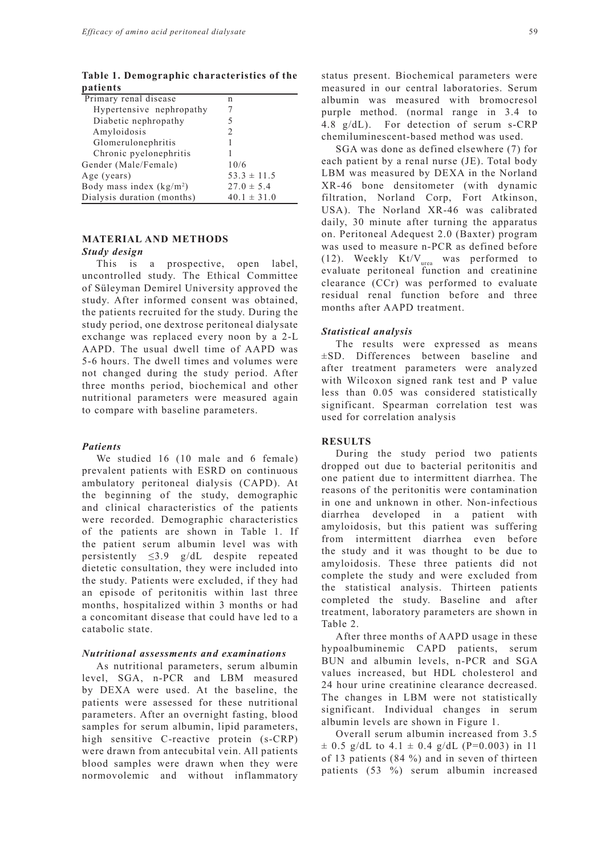**Table 1. Demographic characteristics of the patients**

| Primary renal disease                | n                             |
|--------------------------------------|-------------------------------|
| Hypertensive nephropathy             |                               |
| Diabetic nephropathy                 | 5                             |
| Amyloidosis                          | $\mathfrak{D}_{\mathfrak{p}}$ |
| Glomerulonephritis                   |                               |
| Chronic pyelonephritis               |                               |
| Gender (Male/Female)                 | 10/6                          |
| Age (years)                          | $53.3 \pm 11.5$               |
| Body mass index (kg/m <sup>2</sup> ) | $27.0 \pm 5.4$                |
| Dialysis duration (months)           | $40.1 \pm 31.0$               |

## **MATERIAL AND METHODS**

### *Study design*

This is a prospective, open label, uncontrolled study. The Ethical Committee of Süleyman Demirel University approved the study. After informed consent was obtained, the patients recruited for the study. During the study period, one dextrose peritoneal dialysate exchange was replaced every noon by a 2-L AAPD. The usual dwell time of AAPD was 5-6 hours. The dwell times and volumes were not changed during the study period. After three months period, biochemical and other nutritional parameters were measured again to compare with baseline parameters.

#### *Patients*

We studied 16 (10 male and 6 female) prevalent patients with ESRD on continuous ambulatory peritoneal dialysis (CAPD). At the beginning of the study, demographic and clinical characteristics of the patients were recorded. Demographic characteristics of the patients are shown in Table 1. If the patient serum albumin level was with persistently ≤3.9 g/dL despite repeated dietetic consultation, they were included into the study. Patients were excluded, if they had an episode of peritonitis within last three months, hospitalized within 3 months or had a concomitant disease that could have led to a catabolic state.

#### *Nutritional assessments and examinations*

As nutritional parameters, serum albumin level, SGA, n-PCR and LBM measured by DEXA were used. At the baseline, the patients were assessed for these nutritional parameters. After an overnight fasting, blood samples for serum albumin, lipid parameters, high sensitive C-reactive protein (s-CRP) were drawn from antecubital vein. All patients blood samples were drawn when they were normovolemic and without inflammatory status present. Biochemical parameters were measured in our central laboratories. Serum albumin was measured with bromocresol purple method. (normal range in 3.4 to 4.8 g/dL). For detection of serum s-CRP chemiluminescent-based method was used.

SGA was done as defined elsewhere (7) for each patient by a renal nurse (JE). Total body LBM was measured by DEXA in the Norland XR-46 bone densitometer (with dynamic filtration, Norland Corp, Fort Atkinson, USA). The Norland XR-46 was calibrated daily, 30 minute after turning the apparatus on. Peritoneal Adequest 2.0 (Baxter) program was used to measure n-PCR as defined before (12). Weekly  $Kt/V_{area}$  was performed to evaluate peritoneal function and creatinine clearance (CCr) was performed to evaluate residual renal function before and three months after AAPD treatment.

### *Statistical analysis*

The results were expressed as means ±SD. Differences between baseline and after treatment parameters were analyzed with Wilcoxon signed rank test and P value less than 0.05 was considered statistically significant. Spearman correlation test was used for correlation analysis

#### **RESULTS**

During the study period two patients dropped out due to bacterial peritonitis and one patient due to intermittent diarrhea. The reasons of the peritonitis were contamination in one and unknown in other. Non-infectious diarrhea developed in a patient with amyloidosis, but this patient was suffering from intermittent diarrhea even before the study and it was thought to be due to amyloidosis. These three patients did not complete the study and were excluded from the statistical analysis. Thirteen patients completed the study. Baseline and after treatment, laboratory parameters are shown in Table 2.

After three months of AAPD usage in these hypoalbuminemic CAPD patients, serum BUN and albumin levels, n-PCR and SGA values increased, but HDL cholesterol and 24 hour urine creatinine clearance decreased. The changes in LBM were not statistically significant. Individual changes in serum albumin levels are shown in Figure 1.

Overall serum albumin increased from 3.5  $\pm$  0.5 g/dL to 4.1  $\pm$  0.4 g/dL (P=0.003) in 11 of 13 patients (84 %) and in seven of thirteen patients (53 %) serum albumin increased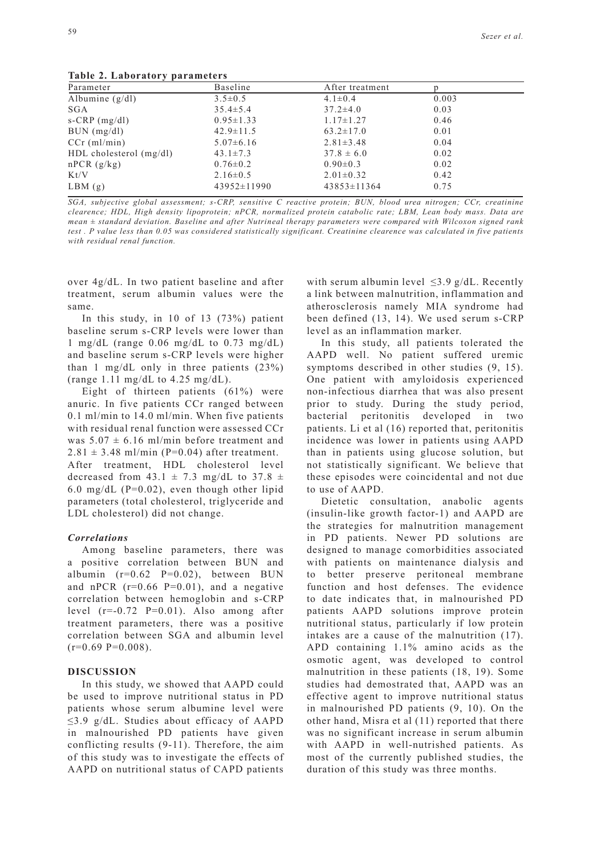**Table 2. Laboratory parameters** 

| $\frac{1}{2}$ and $\frac{2}{2}$ . Eagulatury parameters |                   |       |  |
|---------------------------------------------------------|-------------------|-------|--|
| Baseline                                                | After treatment   |       |  |
| $3.5 \pm 0.5$                                           | $4.1 \pm 0.4$     | 0.003 |  |
| $35.4 \pm 5.4$                                          | $37.2 \pm 4.0$    | 0.03  |  |
| $0.95 \pm 1.33$                                         | $1.17 \pm 1.27$   | 0.46  |  |
| $42.9 \pm 11.5$                                         | $63.2 \pm 17.0$   | 0.01  |  |
| $5.07\pm6.16$                                           | $2.81 \pm 3.48$   | 0.04  |  |
| $43.1 \pm 7.3$                                          | $37.8 \pm 6.0$    | 0.02  |  |
| $0.76 \pm 0.2$                                          | $0.90 \pm 0.3$    | 0.02  |  |
| $2.16\pm0.5$                                            | $2.01 \pm 0.32$   | 0.42  |  |
| $43952 \pm 11990$                                       | $43853 \pm 11364$ | 0.75  |  |
|                                                         |                   |       |  |

*SGA, subjective global assessment; s-CRP, sensitive C reactive protein; BUN, blood urea nitrogen; CCr, creatinine clearence; HDL, High density lipoprotein; nPCR, normalized protein catabolic rate; LBM, Lean body mass. Data are mean ± standard deviation. Baseline and after Nutrineal therapy parameters were compared with Wilcoxon signed rank test . P value less than 0.05 was considered statistically significant. Creatinine clearence was calculated in five patients with residual renal function.*

over 4g/dL. In two patient baseline and after treatment, serum albumin values were the same.

In this study, in 10 of 13 (73%) patient baseline serum s-CRP levels were lower than 1 mg/dL (range  $0.06$  mg/dL to  $0.73$  mg/dL) and baseline serum s-CRP levels were higher than 1 mg/dL only in three patients  $(23\%)$ (range 1.11 mg/dL to 4.25 mg/dL).

Eight of thirteen patients (61%) were anuric. In five patients CCr ranged between 0.1 ml/min to 14.0 ml/min. When five patients with residual renal function were assessed CCr was  $5.07 \pm 6.16$  ml/min before treatment and  $2.81 \pm 3.48$  ml/min (P=0.04) after treatment. After treatment, HDL cholesterol level decreased from  $43.1 \pm 7.3$  mg/dL to  $37.8 \pm$ 6.0 mg/dL ( $P=0.02$ ), even though other lipid parameters (total cholesterol, triglyceride and LDL cholesterol) did not change.

#### *Correlations*

Among baseline parameters, there was a positive correlation between BUN and albumin (r=0.62 P=0.02), between BUN and nPCR  $(r=0.66 \text{ P}=0.01)$ , and a negative correlation between hemoglobin and s-CRP level (r=-0.72 P=0.01). Also among after treatment parameters, there was a positive correlation between SGA and albumin level  $(r=0.69 \text{ P}=0.008)$ .

#### **DISCUSSION**

In this study, we showed that AAPD could be used to improve nutritional status in PD patients whose serum albumine level were ≤3.9 g/dL. Studies about efficacy of AAPD in malnourished PD patients have given conflicting results (9-11). Therefore, the aim of this study was to investigate the effects of AAPD on nutritional status of CAPD patients

with serum albumin level  $\leq$ 3.9 g/dL. Recently a link between malnutrition, inflammation and atherosclerosis namely MIA syndrome had been defined (13, 14). We used serum s-CRP level as an inflammation marker.

In this study, all patients tolerated the AAPD well. No patient suffered uremic symptoms described in other studies (9, 15). One patient with amyloidosis experienced non-infectious diarrhea that was also present prior to study. During the study period, bacterial peritonitis developed in two patients. Li et al (16) reported that, peritonitis incidence was lower in patients using AAPD than in patients using glucose solution, but not statistically significant. We believe that these episodes were coincidental and not due to use of AAPD.

Dietetic consultation, anabolic agents (insulin-like growth factor-1) and AAPD are the strategies for malnutrition management in PD patients. Newer PD solutions are designed to manage comorbidities associated with patients on maintenance dialysis and to better preserve peritoneal membrane function and host defenses. The evidence to date indicates that, in malnourished PD patients AAPD solutions improve protein nutritional status, particularly if low protein intakes are a cause of the malnutrition (17). APD containing 1.1% amino acids as the osmotic agent, was developed to control malnutrition in these patients (18, 19). Some studies had demostrated that, AAPD was an effective agent to improve nutritional status in malnourished PD patients (9, 10). On the other hand, Misra et al (11) reported that there was no significant increase in serum albumin with AAPD in well-nutrished patients. As most of the currently published studies, the duration of this study was three months.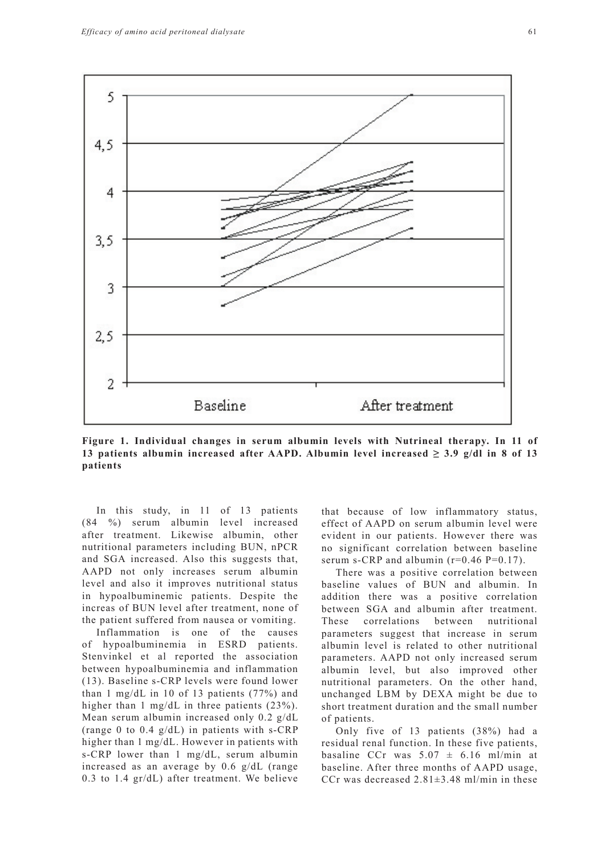

**Figure 1. Individual changes in serum albumin levels with Nutrineal therapy. In 11 of 13 patients albumin increased after AAPD. Albumin level increased**  $\geq$  **3.9 g/dl in 8 of 13 patients**

In this study, in 11 of 13 patients (84 %) serum albumin level increased after treatment. Likewise albumin, other nutritional parameters including BUN, nPCR and SGA increased. Also this suggests that, AAPD not only increases serum albumin level and also it improves nutritional status in hypoalbuminemic patients. Despite the increas of BUN level after treatment, none of the patient suffered from nausea or vomiting.

Inflammation is one of the causes of hypoalbuminemia in ESRD patients. Stenvinkel et al reported the association between hypoalbuminemia and inflammation (13). Baseline s-CRP levels were found lower than 1 mg/dL in 10 of 13 patients (77%) and higher than 1 mg/dL in three patients (23%). Mean serum albumin increased only 0.2 g/dL (range 0 to 0.4 g/dL) in patients with s-CRP higher than 1 mg/dL. However in patients with s-CRP lower than 1 mg/dL, serum albumin increased as an average by 0.6 g/dL (range 0.3 to 1.4 gr/dL) after treatment. We believe that because of low inflammatory status, effect of AAPD on serum albumin level were evident in our patients. However there was no significant correlation between baseline serum s-CRP and albumin  $(r=0.46 \text{ P}=0.17)$ .

There was a positive correlation between baseline values of BUN and albumin. In addition there was a positive correlation between SGA and albumin after treatment. These correlations between nutritional parameters suggest that increase in serum albumin level is related to other nutritional parameters. AAPD not only increased serum albumin level, but also improved other nutritional parameters. On the other hand, unchanged LBM by DEXA might be due to short treatment duration and the small number of patients.

Only five of 13 patients (38%) had a residual renal function. In these five patients, basaline CCr was  $5.07 \pm 6.16$  ml/min at baseline. After three months of AAPD usage, CCr was decreased  $2.81 \pm 3.48$  ml/min in these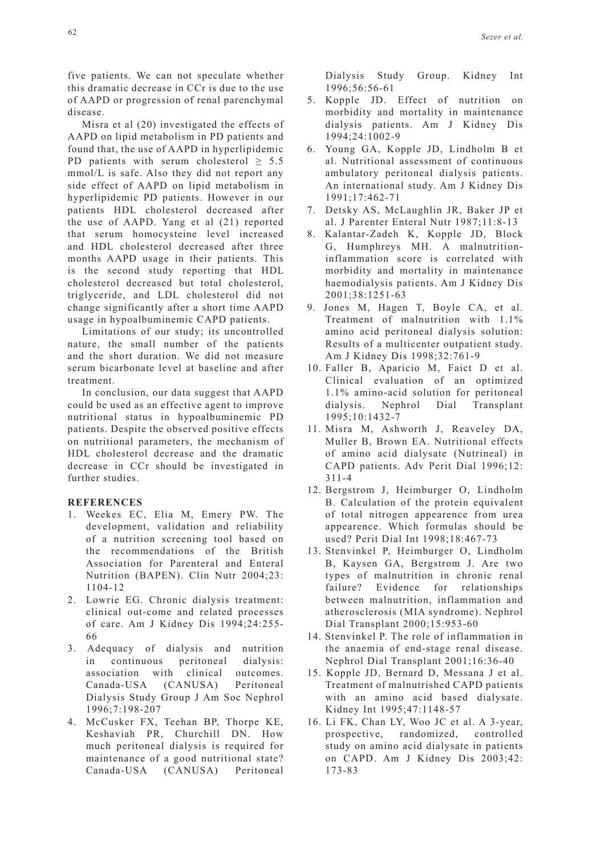five patients. We can not speculate whether this dramatic decrease in CCr is due to the use of AAPD or progression of renal parenchymal disease.

Misra et al (20) investigated the effects of AAPD on lipid metabolism in PD patients and found that, the use of AAPD in hyperlipidemic PD patients with serum cholesterol  $\geq 5.5$ mmol/L is safe. Also they did not report any side effect of AAPD on lipid metabolism in hyperlipidemic PD patients. However in our patients HDL cholesterol decreased after the use of AAPD. Yang et al (21) reported that serum homocysteine level increased and HDL cholesterol decreased after three months AAPD usage in their patients. This is the second study reporting that HDL cholesterol decreased but total cholesterol, triglyceride, and LDL cholesterol did not change significantly after a short time AAPD usage in hypoalbuminemic CAPD patients.

Limitations of our study; its uncontrolled nature, the small number of the patients and the short duration. We did not measure serum bicarbonate level at baseline and after treatment.

In conclusion, our data suggest that AAPD could be used as an effective agent to improve nutritional status in hypoalbuminemic PD patients. Despite the observed positive effects on nutritional parameters, the mechanism of HDL cholesterol decrease and the dramatic decrease in CCr should be investigated in further studies.

### **REFERENCES**

- 1. Weekes EC, Elia M, Emery PW. The development, validation and reliability of a nutrition screening tool based on the recommendations of the British Association for Parenteral and Enteral Nutrition (BAPEN). Clin Nutr 2004;23: 1104-12
- 2. Lowrie EG. Chronic dialysis treatment: clinical out-come and related processes of care. Am J Kidney Dis 1994;24:255- 66
- 3. Adequacy of dialysis and nutrition in continuous peritoneal dialysis: association with clinical outcomes. Canada-USA (CANUSA) Peritoneal Dialysis Study Group J Am Soc Nephrol 1996;7:198-207
- 4. McCusker FX, Teehan BP, Thorpe KE, Keshaviah PR, Churchill DN. How much peritoneal dialysis is required for maintenance of a good nutritional state? Canada-USA (CANUSA) Peritoneal

Dialysis Study Group. Kidney Int 1996;56:56-61

- 5. Kopple JD. Effect of nutrition on morbidity and mortality in maintenance dialysis patients. Am J Kidney Dis 1994;24:1002-9
- 6. Young GA, Kopple JD, Lindholm B et al. Nutritional assessment of continuous ambulatory peritoneal dialysis patients. An international study. Am J Kidney Dis 1991;17:462-71
- 7. Detsky AS, McLaughlin JR, Baker JP et al. J Parenter Enteral Nutr 1987;11:8-13
- 8. Kalantar-Zadeh K, Kopple JD, Block G, Humphreys MH. A malnutritioninflammation score is correlated with morbidity and mortality in maintenance haemodialysis patients. Am J Kidney Dis 2001;38:1251-63
- 9. Jones M, Hagen T, Boyle CA, et al. Treatment of malnutrition with 1.1% amino acid peritoneal dialysis solution: Results of a multicenter outpatient study. Am J Kidney Dis 1998;32:761-9
- 10. Faller B, Aparicio M, Faict D et al. Clinical evaluation of an optimized 1.1% amino-acid solution for peritoneal dialysis. Nephrol Dial Transplant 1995;10:1432-7
- 11. Misra M, Ashworth J, Reaveley DA, Muller B, Brown EA. Nutritional effects of amino acid dialysate (Nutrineal) in CAPD patients. Adv Perit Dial 1996;12: 311-4
- 12. Bergstrom J, Heimburger O, Lindholm B. Calculation of the protein equivalent of total nitrogen appearence from urea appearence. Which formulas should be used? Perit Dial Int 1998;18:467-73
- 13. Stenvinkel P, Heimburger O, Lindholm B, Kaysen GA, Bergstrom J. Are two types of malnutrition in chronic renal failure? Evidence for relationships between malnutrition, inflammation and atherosclerosis (MIA syndrome). Nephrol Dial Transplant 2000;15:953-60
- 14. Stenvinkel P. The role of inflammation in the anaemia of end-stage renal disease. Nephrol Dial Transplant 2001;16:36-40
- 15. Kopple JD, Bernard D, Messana J et al. Treatment of malnutrished CAPD patients with an amino acid based dialysate. Kidney Int 1995;47:1148-57
- 16. Li FK, Chan LY, Woo JC et al. A 3-year, prospective, randomized, controlled study on amino acid dialysate in patients on CAPD. Am J Kidney Dis 2003;42: 173-83